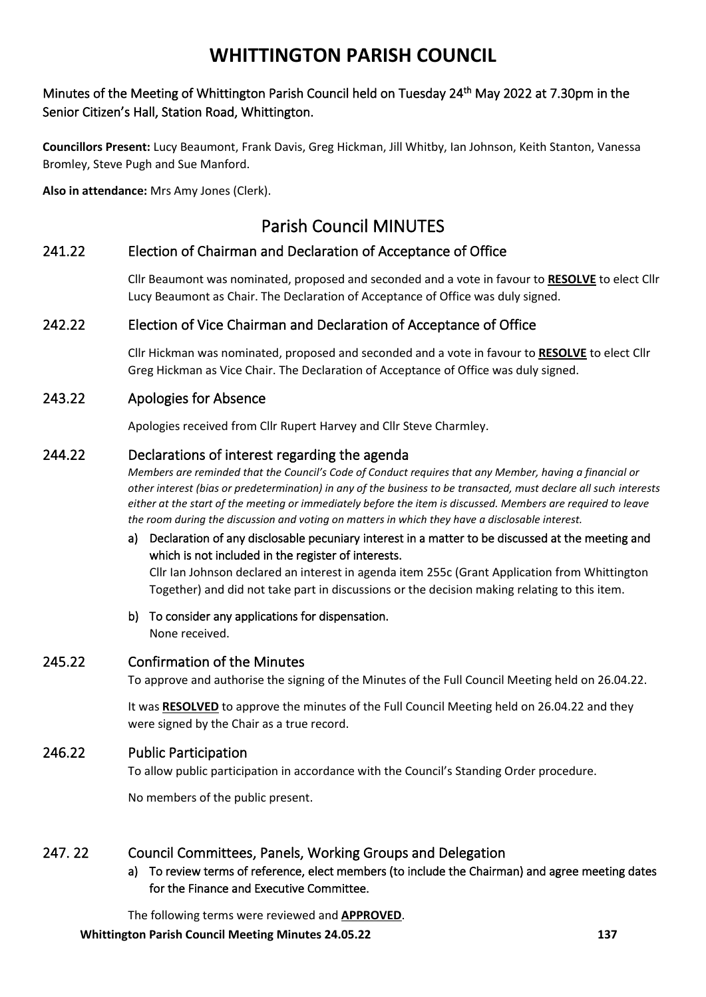## Minutes of the Meeting of Whittington Parish Council held on Tuesday 24<sup>th</sup> May 2022 at 7.30pm in the Senior Citizen's Hall, Station Road, Whittington.

**Councillors Present:** Lucy Beaumont, Frank Davis, Greg Hickman, Jill Whitby, Ian Johnson, Keith Stanton, Vanessa Bromley, Steve Pugh and Sue Manford.

**Also in attendance:** Mrs Amy Jones (Clerk).

## Parish Council MINUTES

## 241.22 Election of Chairman and Declaration of Acceptance of Office

Cllr Beaumont was nominated, proposed and seconded and a vote in favour to **RESOLVE** to elect Cllr Lucy Beaumont as Chair. The Declaration of Acceptance of Office was duly signed.

## 242.22 Election of Vice Chairman and Declaration of Acceptance of Office

Cllr Hickman was nominated, proposed and seconded and a vote in favour to **RESOLVE** to elect Cllr Greg Hickman as Vice Chair. The Declaration of Acceptance of Office was duly signed.

## 243.22 Apologies for Absence

Apologies received from Cllr Rupert Harvey and Cllr Steve Charmley.

## 244.22 Declarations of interest regarding the agenda

*Members are reminded that the Council's Code of Conduct requires that any Member, having a financial or other interest (bias or predetermination) in any of the business to be transacted, must declare all such interests either at the start of the meeting or immediately before the item is discussed. Members are required to leave the room during the discussion and voting on matters in which they have a disclosable interest.*

## a) Declaration of any disclosable pecuniary interest in a matter to be discussed at the meeting and which is not included in the register of interests.

Cllr Ian Johnson declared an interest in agenda item 255c (Grant Application from Whittington Together) and did not take part in discussions or the decision making relating to this item.

b) To consider any applications for dispensation. None received.

## 245.22 Confirmation of the Minutes

To approve and authorise the signing of the Minutes of the Full Council Meeting held on 26.04.22.

It was **RESOLVED** to approve the minutes of the Full Council Meeting held on 26.04.22 and they were signed by the Chair as a true record.

## 246.22 Public Participation

To allow public participation in accordance with the Council's Standing Order procedure.

No members of the public present.

## 247. 22 Council Committees, Panels, Working Groups and Delegation

a) To review terms of reference, elect members (to include the Chairman) and agree meeting dates for the Finance and Executive Committee.

The following terms were reviewed and **APPROVED**.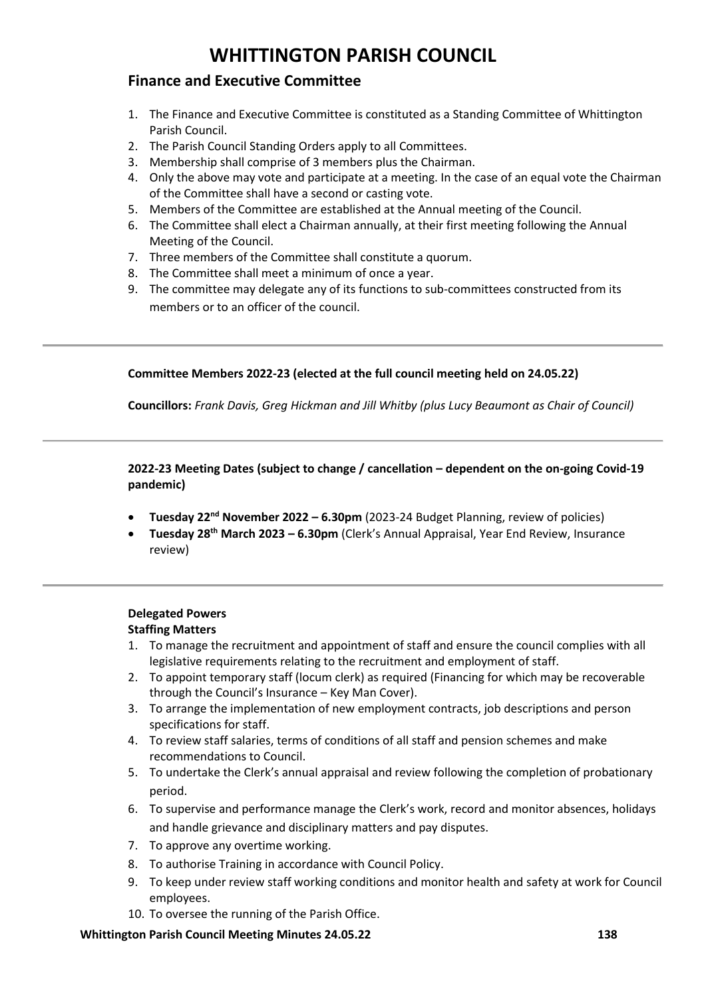## **Finance and Executive Committee**

- 1. The Finance and Executive Committee is constituted as a Standing Committee of Whittington Parish Council.
- 2. The Parish Council Standing Orders apply to all Committees.
- 3. Membership shall comprise of 3 members plus the Chairman.
- 4. Only the above may vote and participate at a meeting. In the case of an equal vote the Chairman of the Committee shall have a second or casting vote.
- 5. Members of the Committee are established at the Annual meeting of the Council.
- 6. The Committee shall elect a Chairman annually, at their first meeting following the Annual Meeting of the Council.
- 7. Three members of the Committee shall constitute a quorum.
- 8. The Committee shall meet a minimum of once a year.
- 9. The committee may delegate any of its functions to sub-committees constructed from its members or to an officer of the council.

### **Committee Members 2022-23 (elected at the full council meeting held on 24.05.22)**

**Councillors:** *Frank Davis, Greg Hickman and Jill Whitby (plus Lucy Beaumont as Chair of Council)*

**2022-23 Meeting Dates (subject to change / cancellation – dependent on the on-going Covid-19 pandemic)**

- **Tuesday 22nd November 2022 – 6.30pm** (2023-24 Budget Planning, review of policies)
- **Tuesday 28th March 2023 – 6.30pm** (Clerk's Annual Appraisal, Year End Review, Insurance review)

## **Delegated Powers**

### **Staffing Matters**

- 1. To manage the recruitment and appointment of staff and ensure the council complies with all legislative requirements relating to the recruitment and employment of staff.
- 2. To appoint temporary staff (locum clerk) as required (Financing for which may be recoverable through the Council's Insurance – Key Man Cover).
- 3. To arrange the implementation of new employment contracts, job descriptions and person specifications for staff.
- 4. To review staff salaries, terms of conditions of all staff and pension schemes and make recommendations to Council.
- 5. To undertake the Clerk's annual appraisal and review following the completion of probationary period.
- 6. To supervise and performance manage the Clerk's work, record and monitor absences, holidays and handle grievance and disciplinary matters and pay disputes.
- 7. To approve any overtime working.
- 8. To authorise Training in accordance with Council Policy.
- 9. To keep under review staff working conditions and monitor health and safety at work for Council employees.
- 10. To oversee the running of the Parish Office.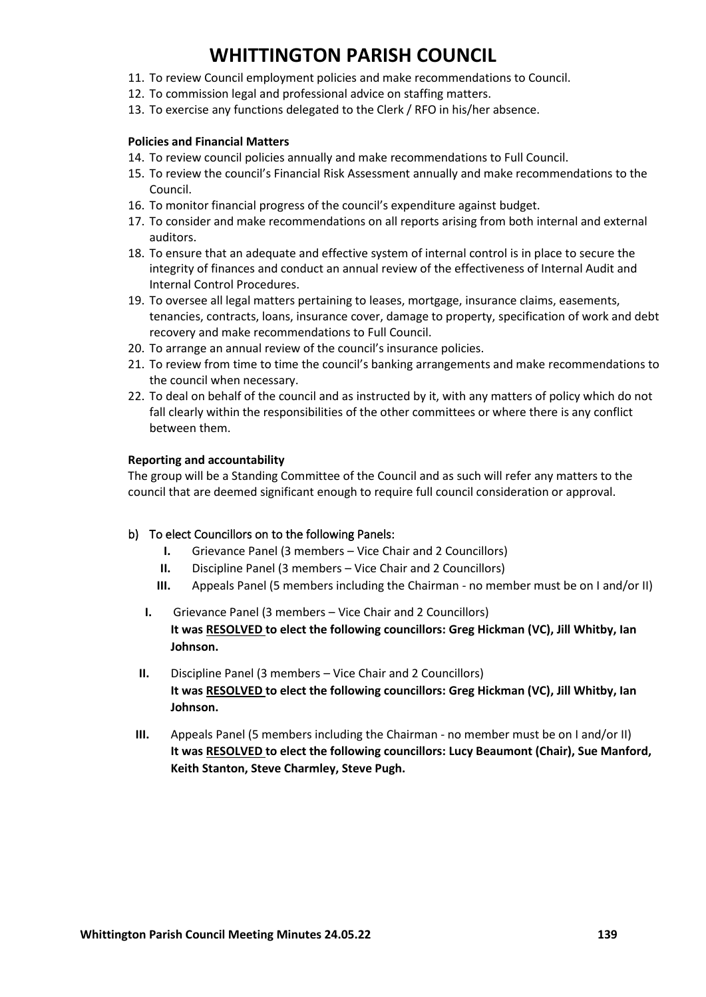- 11. To review Council employment policies and make recommendations to Council.
- 12. To commission legal and professional advice on staffing matters.
- 13. To exercise any functions delegated to the Clerk / RFO in his/her absence.

#### **Policies and Financial Matters**

- 14. To review council policies annually and make recommendations to Full Council.
- 15. To review the council's Financial Risk Assessment annually and make recommendations to the Council.
- 16. To monitor financial progress of the council's expenditure against budget.
- 17. To consider and make recommendations on all reports arising from both internal and external auditors.
- 18. To ensure that an adequate and effective system of internal control is in place to secure the integrity of finances and conduct an annual review of the effectiveness of Internal Audit and Internal Control Procedures.
- 19. To oversee all legal matters pertaining to leases, mortgage, insurance claims, easements, tenancies, contracts, loans, insurance cover, damage to property, specification of work and debt recovery and make recommendations to Full Council.
- 20. To arrange an annual review of the council's insurance policies.
- 21. To review from time to time the council's banking arrangements and make recommendations to the council when necessary.
- 22. To deal on behalf of the council and as instructed by it, with any matters of policy which do not fall clearly within the responsibilities of the other committees or where there is any conflict between them.

#### **Reporting and accountability**

The group will be a Standing Committee of the Council and as such will refer any matters to the council that are deemed significant enough to require full council consideration or approval.

### b) To elect Councillors on to the following Panels:

- **I.** Grievance Panel (3 members Vice Chair and 2 Councillors)
- **II.** Discipline Panel (3 members Vice Chair and 2 Councillors)
- **III.** Appeals Panel (5 members including the Chairman no member must be on I and/or II)
- **I.** Grievance Panel (3 members Vice Chair and 2 Councillors) **It was RESOLVED to elect the following councillors: Greg Hickman (VC), Jill Whitby, Ian Johnson.**
- **II.** Discipline Panel (3 members Vice Chair and 2 Councillors) **It was RESOLVED to elect the following councillors: Greg Hickman (VC), Jill Whitby, Ian Johnson.**
- **III.** Appeals Panel (5 members including the Chairman no member must be on I and/or II) **It was RESOLVED to elect the following councillors: Lucy Beaumont (Chair), Sue Manford, Keith Stanton, Steve Charmley, Steve Pugh.**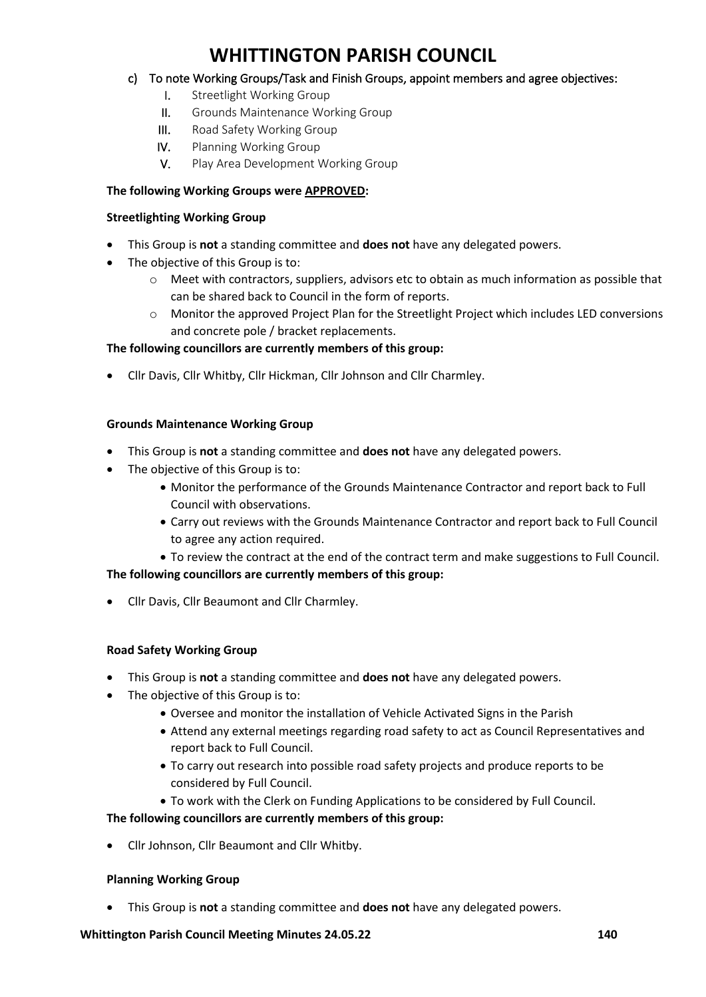### c) To note Working Groups/Task and Finish Groups, appoint members and agree objectives:

- I. Streetlight Working Group
- II. Grounds Maintenance Working Group
- III. Road Safety Working Group
- IV. Planning Working Group
- V. Play Area Development Working Group

### **The following Working Groups were APPROVED:**

#### **Streetlighting Working Group**

- This Group is **not** a standing committee and **does not** have any delegated powers.
- The objective of this Group is to:
	- $\circ$  Meet with contractors, suppliers, advisors etc to obtain as much information as possible that can be shared back to Council in the form of reports.
	- o Monitor the approved Project Plan for the Streetlight Project which includes LED conversions and concrete pole / bracket replacements.

### **The following councillors are currently members of this group:**

• Cllr Davis, Cllr Whitby, Cllr Hickman, Cllr Johnson and Cllr Charmley.

### **Grounds Maintenance Working Group**

- This Group is **not** a standing committee and **does not** have any delegated powers.
- The objective of this Group is to:
	- Monitor the performance of the Grounds Maintenance Contractor and report back to Full Council with observations.
	- Carry out reviews with the Grounds Maintenance Contractor and report back to Full Council to agree any action required.
	- To review the contract at the end of the contract term and make suggestions to Full Council.

### **The following councillors are currently members of this group:**

• Cllr Davis, Cllr Beaumont and Cllr Charmley.

### **Road Safety Working Group**

- This Group is **not** a standing committee and **does not** have any delegated powers.
- The objective of this Group is to:
	- Oversee and monitor the installation of Vehicle Activated Signs in the Parish
	- Attend any external meetings regarding road safety to act as Council Representatives and report back to Full Council.
	- To carry out research into possible road safety projects and produce reports to be considered by Full Council.
	- To work with the Clerk on Funding Applications to be considered by Full Council.

### **The following councillors are currently members of this group:**

• Cllr Johnson, Cllr Beaumont and Cllr Whitby.

### **Planning Working Group**

• This Group is **not** a standing committee and **does not** have any delegated powers.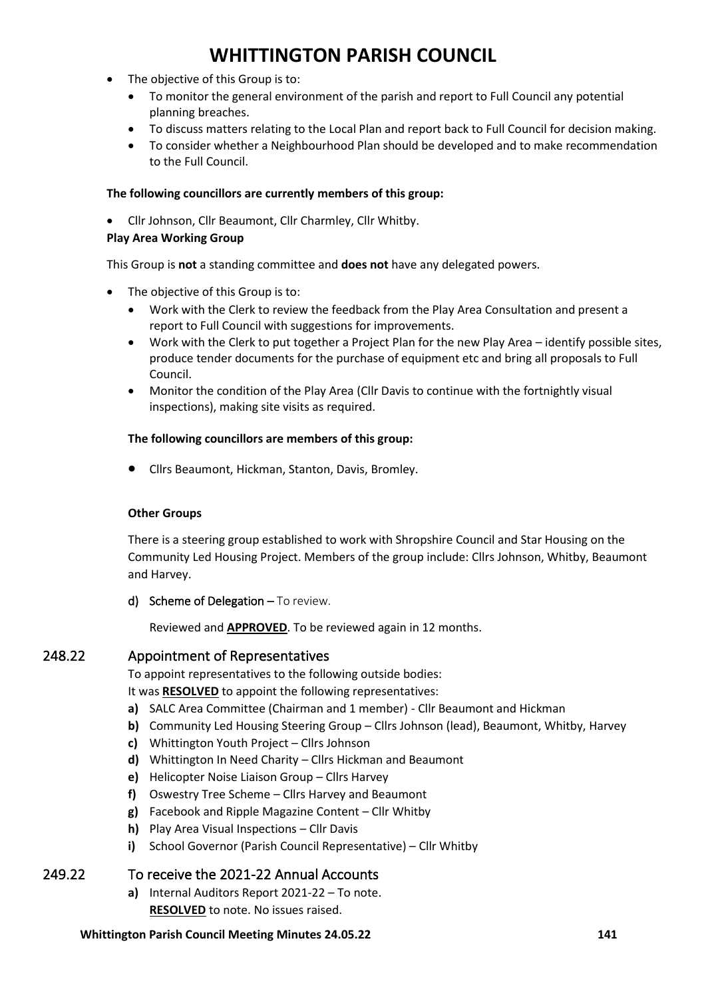- The objective of this Group is to:
	- To monitor the general environment of the parish and report to Full Council any potential planning breaches.
	- To discuss matters relating to the Local Plan and report back to Full Council for decision making.
	- To consider whether a Neighbourhood Plan should be developed and to make recommendation to the Full Council.

#### **The following councillors are currently members of this group:**

• Cllr Johnson, Cllr Beaumont, Cllr Charmley, Cllr Whitby.

#### **Play Area Working Group**

This Group is **not** a standing committee and **does not** have any delegated powers.

- The objective of this Group is to:
	- Work with the Clerk to review the feedback from the Play Area Consultation and present a report to Full Council with suggestions for improvements.
	- Work with the Clerk to put together a Project Plan for the new Play Area identify possible sites, produce tender documents for the purchase of equipment etc and bring all proposals to Full Council.
	- Monitor the condition of the Play Area (Cllr Davis to continue with the fortnightly visual inspections), making site visits as required.

#### **The following councillors are members of this group:**

• Cllrs Beaumont, Hickman, Stanton, Davis, Bromley.

### **Other Groups**

There is a steering group established to work with Shropshire Council and Star Housing on the Community Led Housing Project. Members of the group include: Cllrs Johnson, Whitby, Beaumont and Harvey.

d) Scheme of Delegation - To review.

Reviewed and **APPROVED**. To be reviewed again in 12 months.

## 248.22 Appointment of Representatives

To appoint representatives to the following outside bodies:

It was **RESOLVED** to appoint the following representatives:

- **a)** SALC Area Committee (Chairman and 1 member) Cllr Beaumont and Hickman
- **b)** Community Led Housing Steering Group Cllrs Johnson (lead), Beaumont, Whitby, Harvey
- **c)** Whittington Youth Project Cllrs Johnson
- **d)** Whittington In Need Charity Cllrs Hickman and Beaumont
- **e)** Helicopter Noise Liaison Group Cllrs Harvey
- **f)** Oswestry Tree Scheme Cllrs Harvey and Beaumont
- **g)** Facebook and Ripple Magazine Content Cllr Whitby
- **h)** Play Area Visual Inspections Cllr Davis
- **i)** School Governor (Parish Council Representative) Cllr Whitby

## 249.22 To receive the 2021-22 Annual Accounts

**a)** Internal Auditors Report 2021-22 – To note. **RESOLVED** to note. No issues raised.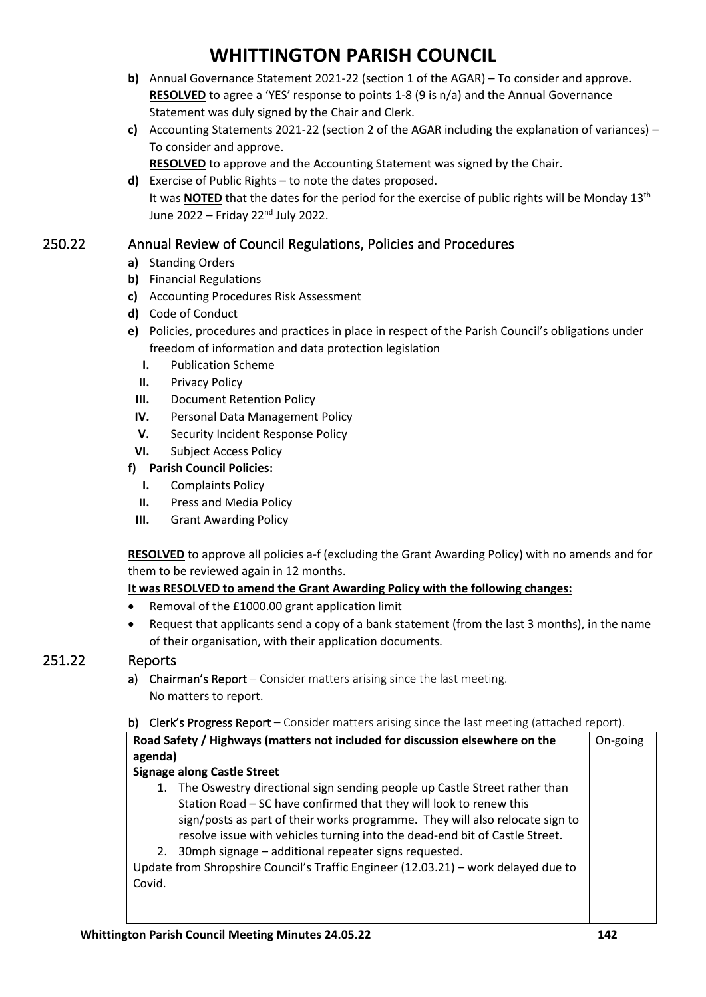- **b)** Annual Governance Statement 2021-22 (section 1 of the AGAR) To consider and approve. **RESOLVED** to agree a 'YES' response to points 1-8 (9 is n/a) and the Annual Governance Statement was duly signed by the Chair and Clerk.
- **c)** Accounting Statements 2021-22 (section 2 of the AGAR including the explanation of variances) To consider and approve.

**RESOLVED** to approve and the Accounting Statement was signed by the Chair.

**d)** Exercise of Public Rights – to note the dates proposed. It was **NOTED** that the dates for the period for the exercise of public rights will be Monday 13<sup>th</sup> June 2022 – Friday 22nd July 2022.

## 250.22 Annual Review of Council Regulations, Policies and Procedures

- **a)** Standing Orders
- **b)** Financial Regulations
- **c)** Accounting Procedures Risk Assessment
- **d)** Code of Conduct
- **e)** Policies, procedures and practices in place in respect of the Parish Council's obligations under freedom of information and data protection legislation
	- **I.** Publication Scheme
	- **II.** Privacy Policy
	- **III.** Document Retention Policy
- **IV.** Personal Data Management Policy
- **V.** Security Incident Response Policy
- **VI.** Subject Access Policy

### **f) Parish Council Policies:**

- **I.** Complaints Policy
- **II.** Press and Media Policy
- **III.** Grant Awarding Policy

**RESOLVED** to approve all policies a-f (excluding the Grant Awarding Policy) with no amends and for them to be reviewed again in 12 months.

### **It was RESOLVED to amend the Grant Awarding Policy with the following changes:**

- Removal of the £1000.00 grant application limit
- Request that applicants send a copy of a bank statement (from the last 3 months), in the name of their organisation, with their application documents.

## 251.22 Reports

- a) Chairman's Report Consider matters arising since the last meeting. No matters to report.
- b) Clerk's Progress Report Consider matters arising since the last meeting (attached report).

| agenda)                            | Road Safety / Highways (matters not included for discussion elsewhere on the                                                                                                                                                                                                                                                                                              | On-going |  |  |  |
|------------------------------------|---------------------------------------------------------------------------------------------------------------------------------------------------------------------------------------------------------------------------------------------------------------------------------------------------------------------------------------------------------------------------|----------|--|--|--|
| <b>Signage along Castle Street</b> |                                                                                                                                                                                                                                                                                                                                                                           |          |  |  |  |
| 1.                                 | The Oswestry directional sign sending people up Castle Street rather than<br>Station Road – SC have confirmed that they will look to renew this<br>sign/posts as part of their works programme. They will also relocate sign to<br>resolve issue with vehicles turning into the dead-end bit of Castle Street.<br>2. 30mph signage – additional repeater signs requested. |          |  |  |  |
| Covid.                             | Update from Shropshire Council's Traffic Engineer (12.03.21) - work delayed due to                                                                                                                                                                                                                                                                                        |          |  |  |  |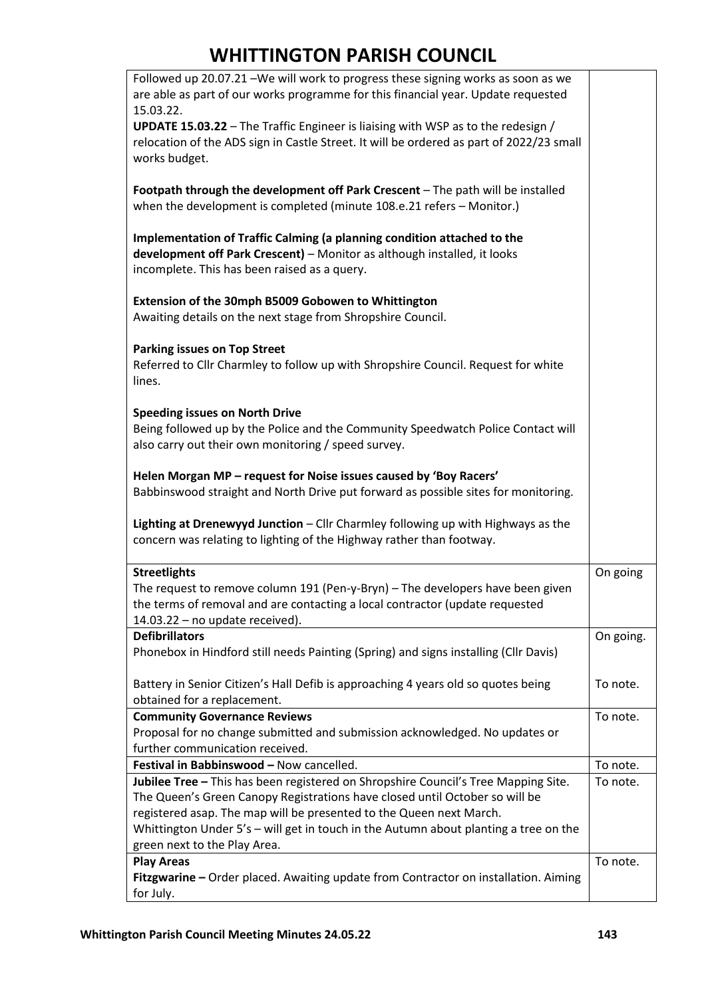| Followed up 20.07.21 -We will work to progress these signing works as soon as we                                                                            |           |
|-------------------------------------------------------------------------------------------------------------------------------------------------------------|-----------|
| are able as part of our works programme for this financial year. Update requested                                                                           |           |
| 15.03.22.<br><b>UPDATE 15.03.22</b> - The Traffic Engineer is liaising with WSP as to the redesign /                                                        |           |
| relocation of the ADS sign in Castle Street. It will be ordered as part of 2022/23 small                                                                    |           |
| works budget.                                                                                                                                               |           |
|                                                                                                                                                             |           |
| Footpath through the development off Park Crescent - The path will be installed                                                                             |           |
| when the development is completed (minute 108.e.21 refers - Monitor.)                                                                                       |           |
| Implementation of Traffic Calming (a planning condition attached to the                                                                                     |           |
| development off Park Crescent) - Monitor as although installed, it looks                                                                                    |           |
| incomplete. This has been raised as a query.                                                                                                                |           |
|                                                                                                                                                             |           |
| Extension of the 30mph B5009 Gobowen to Whittington                                                                                                         |           |
| Awaiting details on the next stage from Shropshire Council.                                                                                                 |           |
|                                                                                                                                                             |           |
| <b>Parking issues on Top Street</b><br>Referred to Cllr Charmley to follow up with Shropshire Council. Request for white                                    |           |
| lines.                                                                                                                                                      |           |
|                                                                                                                                                             |           |
| <b>Speeding issues on North Drive</b>                                                                                                                       |           |
| Being followed up by the Police and the Community Speedwatch Police Contact will                                                                            |           |
| also carry out their own monitoring / speed survey.                                                                                                         |           |
| Helen Morgan MP - request for Noise issues caused by 'Boy Racers'                                                                                           |           |
| Babbinswood straight and North Drive put forward as possible sites for monitoring.                                                                          |           |
|                                                                                                                                                             |           |
| Lighting at Drenewyyd Junction - Cllr Charmley following up with Highways as the                                                                            |           |
| concern was relating to lighting of the Highway rather than footway.                                                                                        |           |
|                                                                                                                                                             |           |
| <b>Streetlights</b><br>The request to remove column 191 (Pen-y-Bryn) - The developers have been given                                                       | On going  |
| the terms of removal and are contacting a local contractor (update requested                                                                                |           |
| 14.03.22 - no update received).                                                                                                                             |           |
| <b>Defibrillators</b>                                                                                                                                       | On going. |
| Phonebox in Hindford still needs Painting (Spring) and signs installing (Cllr Davis)                                                                        |           |
|                                                                                                                                                             |           |
| Battery in Senior Citizen's Hall Defib is approaching 4 years old so quotes being<br>obtained for a replacement.                                            | To note.  |
| <b>Community Governance Reviews</b>                                                                                                                         | To note.  |
| Proposal for no change submitted and submission acknowledged. No updates or                                                                                 |           |
| further communication received.                                                                                                                             |           |
| Festival in Babbinswood - Now cancelled.                                                                                                                    | To note.  |
| Jubilee Tree - This has been registered on Shropshire Council's Tree Mapping Site.                                                                          | To note.  |
| The Queen's Green Canopy Registrations have closed until October so will be                                                                                 |           |
| registered asap. The map will be presented to the Queen next March.<br>Whittington Under 5's - will get in touch in the Autumn about planting a tree on the |           |
| green next to the Play Area.                                                                                                                                |           |
| <b>Play Areas</b>                                                                                                                                           | To note.  |
| Fitzgwarine - Order placed. Awaiting update from Contractor on installation. Aiming                                                                         |           |
| for July.                                                                                                                                                   |           |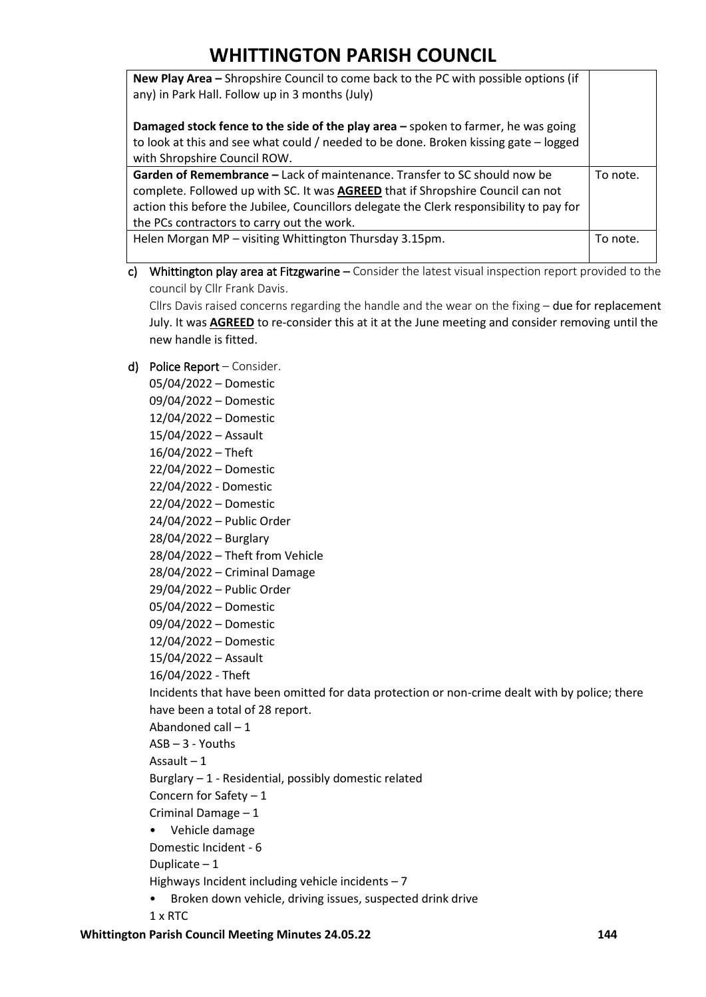| New Play Area - Shropshire Council to come back to the PC with possible options (if<br>any) in Park Hall. Follow up in 3 months (July)                                                                                                                                                                 |          |
|--------------------------------------------------------------------------------------------------------------------------------------------------------------------------------------------------------------------------------------------------------------------------------------------------------|----------|
| Damaged stock fence to the side of the play area - spoken to farmer, he was going<br>to look at this and see what could / needed to be done. Broken kissing gate - logged<br>with Shropshire Council ROW.                                                                                              |          |
| Garden of Remembrance - Lack of maintenance. Transfer to SC should now be<br>complete. Followed up with SC. It was AGREED that if Shropshire Council can not<br>action this before the Jubilee, Councillors delegate the Clerk responsibility to pay for<br>the PCs contractors to carry out the work. |          |
| Helen Morgan MP - visiting Whittington Thursday 3.15pm.                                                                                                                                                                                                                                                | To note. |

c) Whittington play area at Fitzgwarine – Consider the latest visual inspection report provided to the council by Cllr Frank Davis.

Cllrs Davis raised concerns regarding the handle and the wear on the fixing  $-$  due for replacement July. It was **AGREED** to re-consider this at it at the June meeting and consider removing until the new handle is fitted.

- d) Police Report Consider.
	- 05/04/2022 Domestic
	- 09/04/2022 Domestic
	- 12/04/2022 Domestic
	- 15/04/2022 Assault
	- 16/04/2022 Theft
	- 22/04/2022 Domestic
	- 22/04/2022 Domestic
	- 22/04/2022 Domestic
	- 24/04/2022 Public Order
	- 28/04/2022 Burglary
	- 28/04/2022 Theft from Vehicle
	- 28/04/2022 Criminal Damage
	- 29/04/2022 Public Order
	- 05/04/2022 Domestic
	- 09/04/2022 Domestic
	- 12/04/2022 Domestic
	- 15/04/2022 Assault
	- 16/04/2022 Theft

Incidents that have been omitted for data protection or non-crime dealt with by police; there have been a total of 28 report.

- Abandoned call 1
- ASB 3 Youths

Assault – 1

Burglary – 1 - Residential, possibly domestic related

- Concern for Safety  $-1$
- Criminal Damage 1
- Vehicle damage
- Domestic Incident 6

Duplicate – 1

Highways Incident including vehicle incidents – 7

- Broken down vehicle, driving issues, suspected drink drive
- 1 x RTC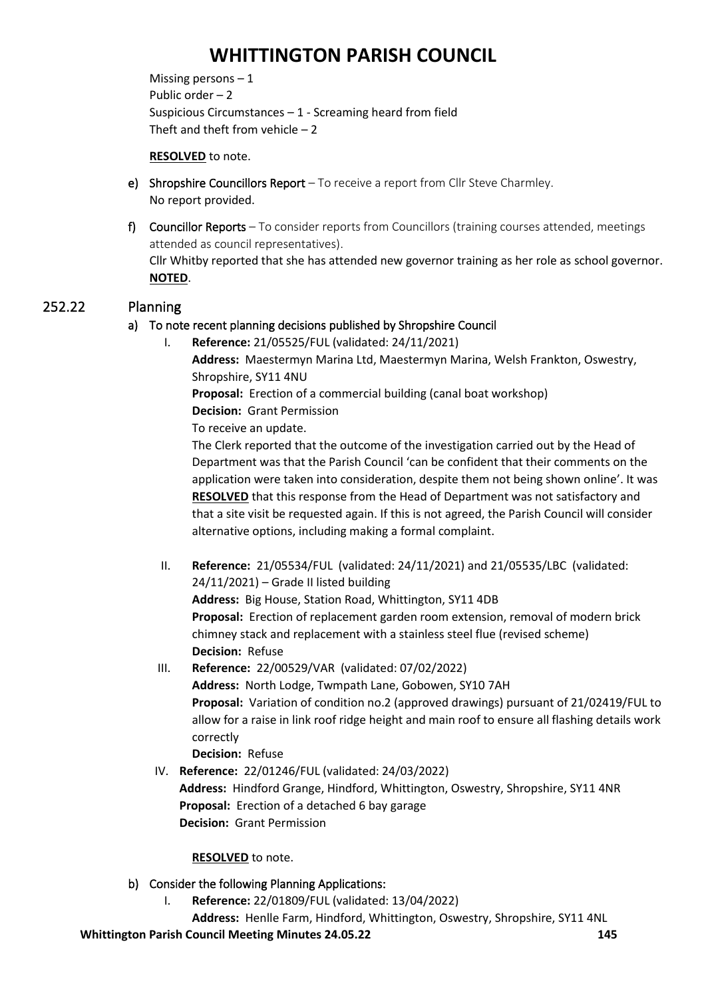Missing persons  $-1$ Public order – 2 Suspicious Circumstances – 1 - Screaming heard from field Theft and theft from vehicle  $-2$ 

### **RESOLVED** to note.

- e) Shropshire Councillors Report To receive a report from Cllr Steve Charmley. No report provided.
- f) Councillor Reports To consider reports from Councillors (training courses attended, meetings attended as council representatives). Cllr Whitby reported that she has attended new governor training as her role as school governor. **NOTED**.

## 252.22 Planning

## a) To note recent planning decisions published by Shropshire Council

I. **Reference:** 21/05525/FUL (validated: 24/11/2021)

**Address:** Maestermyn Marina Ltd, Maestermyn Marina, Welsh Frankton, Oswestry, Shropshire, SY11 4NU

**Proposal:** Erection of a commercial building (canal boat workshop)

**Decision:** Grant Permission

To receive an update.

The Clerk reported that the outcome of the investigation carried out by the Head of Department was that the Parish Council 'can be confident that their comments on the application were taken into consideration, despite them not being shown online'. It was **RESOLVED** that this response from the Head of Department was not satisfactory and that a site visit be requested again. If this is not agreed, the Parish Council will consider alternative options, including making a formal complaint.

- II. **Reference:** 21/05534/FUL (validated: 24/11/2021) and 21/05535/LBC (validated:  $24/11/2021$  – Grade II listed building **Address:** Big House, Station Road, Whittington, SY11 4DB **Proposal:** Erection of replacement garden room extension, removal of modern brick chimney stack and replacement with a stainless steel flue (revised scheme) **Decision:** Refuse
- III. **Reference:** 22/00529/VAR (validated: 07/02/2022) **Address:** North Lodge, Twmpath Lane, Gobowen, SY10 7AH **Proposal:** Variation of condition no.2 (approved drawings) pursuant of 21/02419/FUL to allow for a raise in link roof ridge height and main roof to ensure all flashing details work correctly **Decision:** Refuse
- IV. **Reference:** 22/01246/FUL (validated: 24/03/2022) **Address:** Hindford Grange, Hindford, Whittington, Oswestry, Shropshire, SY11 4NR **Proposal:** Erection of a detached 6 bay garage **Decision:** Grant Permission

### **RESOLVED** to note.

- b) Consider the following Planning Applications:
	- I. **Reference:** 22/01809/FUL (validated: 13/04/2022)

**Address:** Henlle Farm, Hindford, Whittington, Oswestry, Shropshire, SY11 4NL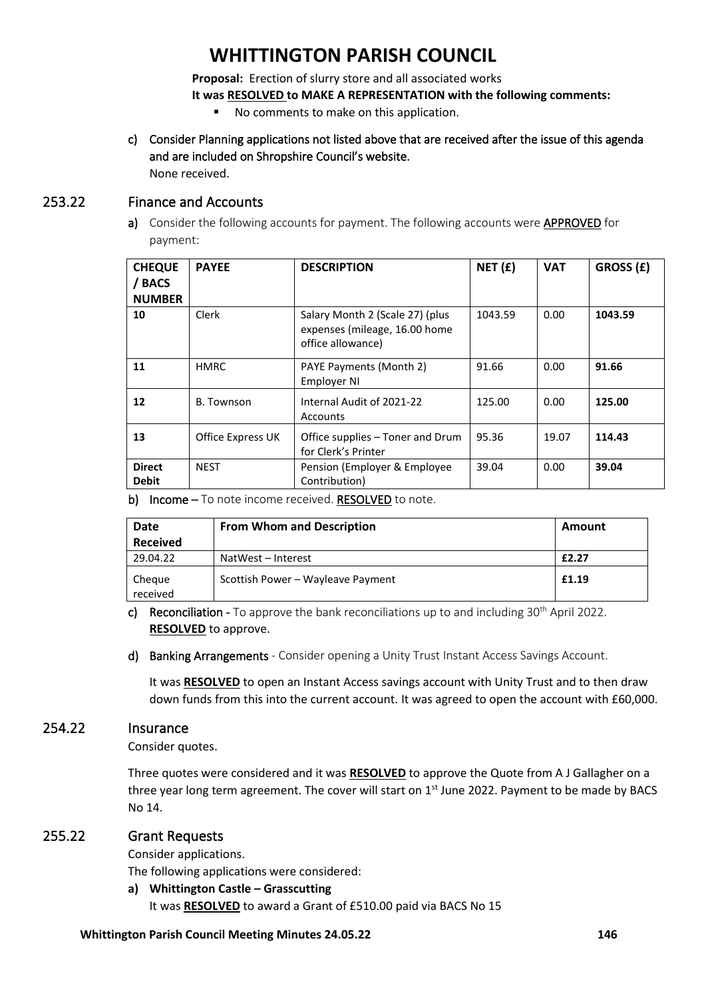**Proposal:** Erection of slurry store and all associated works

**It was RESOLVED to MAKE A REPRESENTATION with the following comments:**

- No comments to make on this application.
- c) Consider Planning applications not listed above that are received after the issue of this agenda and are included on Shropshire Council's website. None received.

### 253.22 Finance and Accounts

a) Consider the following accounts for payment. The following accounts were **APPROVED** for payment:

| <b>CHEQUE</b><br><b>BACS</b><br><b>NUMBER</b> | <b>PAYEE</b>      | <b>DESCRIPTION</b>                                                                    | NET(f)  | <b>VAT</b> | GROSS (£) |
|-----------------------------------------------|-------------------|---------------------------------------------------------------------------------------|---------|------------|-----------|
| 10                                            | Clerk             | Salary Month 2 (Scale 27) (plus<br>expenses (mileage, 16.00 home<br>office allowance) | 1043.59 | 0.00       | 1043.59   |
| 11                                            | <b>HMRC</b>       | PAYE Payments (Month 2)<br>Employer NI                                                | 91.66   | 0.00       | 91.66     |
| 12                                            | B. Townson        | Internal Audit of 2021-22<br><b>Accounts</b>                                          | 125.00  | 0.00       | 125.00    |
| 13                                            | Office Express UK | Office supplies – Toner and Drum<br>for Clerk's Printer                               | 95.36   | 19.07      | 114.43    |
| <b>Direct</b><br><b>Debit</b>                 | <b>NEST</b>       | Pension (Employer & Employee<br>Contribution)                                         | 39.04   | 0.00       | 39.04     |

b) Income – To note income received. RESOLVED to note.

| Date               | <b>From Whom and Description</b>  | Amount |  |
|--------------------|-----------------------------------|--------|--|
| <b>Received</b>    |                                   |        |  |
| 29.04.22           | NatWest - Interest                | £2.27  |  |
| Cheque<br>received | Scottish Power - Wayleave Payment | £1.19  |  |

- c) Reconciliation To approve the bank reconciliations up to and including  $30<sup>th</sup>$  April 2022. **RESOLVED** to approve.
- d) Banking Arrangements Consider opening a Unity Trust Instant Access Savings Account.

It was **RESOLVED** to open an Instant Access savings account with Unity Trust and to then draw down funds from this into the current account. It was agreed to open the account with £60,000.

### 254.22 Insurance

Consider quotes.

Three quotes were considered and it was **RESOLVED** to approve the Quote from A J Gallagher on a three year long term agreement. The cover will start on 1<sup>st</sup> June 2022. Payment to be made by BACS No 14.

## 255.22 Grant Requests

Consider applications.

The following applications were considered:

### **a) Whittington Castle – Grasscutting**

It was **RESOLVED** to award a Grant of £510.00 paid via BACS No 15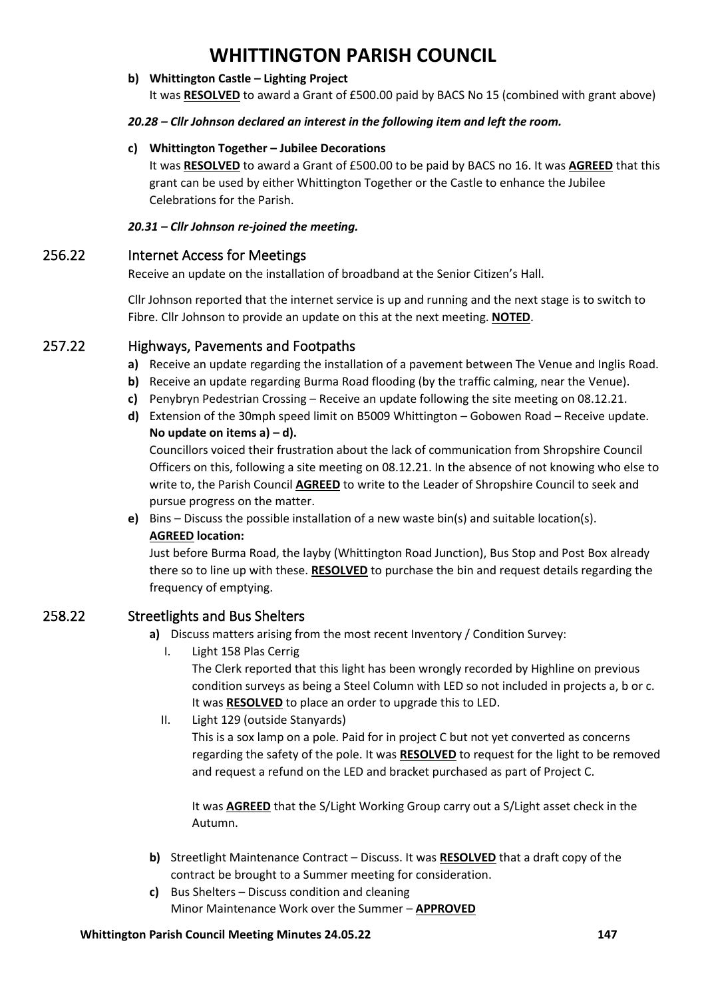#### **b) Whittington Castle – Lighting Project**

It was **RESOLVED** to award a Grant of £500.00 paid by BACS No 15 (combined with grant above)

#### *20.28 – Cllr Johnson declared an interest in the following item and left the room.*

#### **c) Whittington Together – Jubilee Decorations**

It was **RESOLVED** to award a Grant of £500.00 to be paid by BACS no 16. It was **AGREED** that this grant can be used by either Whittington Together or the Castle to enhance the Jubilee Celebrations for the Parish.

#### *20.31 – Cllr Johnson re-joined the meeting.*

### 256.22 Internet Access for Meetings

Receive an update on the installation of broadband at the Senior Citizen's Hall.

Cllr Johnson reported that the internet service is up and running and the next stage is to switch to Fibre. Cllr Johnson to provide an update on this at the next meeting. **NOTED**.

## 257.22 Highways, Pavements and Footpaths

- **a)** Receive an update regarding the installation of a pavement between The Venue and Inglis Road.
- **b)** Receive an update regarding Burma Road flooding (by the traffic calming, near the Venue).
- **c)** Penybryn Pedestrian Crossing Receive an update following the site meeting on 08.12.21.
- **d)** Extension of the 30mph speed limit on B5009 Whittington Gobowen Road Receive update. **No update on items a) – d).**

Councillors voiced their frustration about the lack of communication from Shropshire Council Officers on this, following a site meeting on 08.12.21. In the absence of not knowing who else to write to, the Parish Council **AGREED** to write to the Leader of Shropshire Council to seek and pursue progress on the matter.

**e)** Bins – Discuss the possible installation of a new waste bin(s) and suitable location(s). **AGREED location:**

Just before Burma Road, the layby (Whittington Road Junction), Bus Stop and Post Box already there so to line up with these. **RESOLVED** to purchase the bin and request details regarding the frequency of emptying.

## 258.22 Streetlights and Bus Shelters

- **a)** Discuss matters arising from the most recent Inventory / Condition Survey:
	- I. Light 158 Plas Cerrig

The Clerk reported that this light has been wrongly recorded by Highline on previous condition surveys as being a Steel Column with LED so not included in projects a, b or c. It was **RESOLVED** to place an order to upgrade this to LED.

II. Light 129 (outside Stanyards)

This is a sox lamp on a pole. Paid for in project C but not yet converted as concerns regarding the safety of the pole. It was **RESOLVED** to request for the light to be removed and request a refund on the LED and bracket purchased as part of Project C.

It was **AGREED** that the S/Light Working Group carry out a S/Light asset check in the Autumn.

- **b)** Streetlight Maintenance Contract Discuss. It was **RESOLVED** that a draft copy of the contract be brought to a Summer meeting for consideration.
- **c)** Bus Shelters Discuss condition and cleaning Minor Maintenance Work over the Summer – **APPROVED**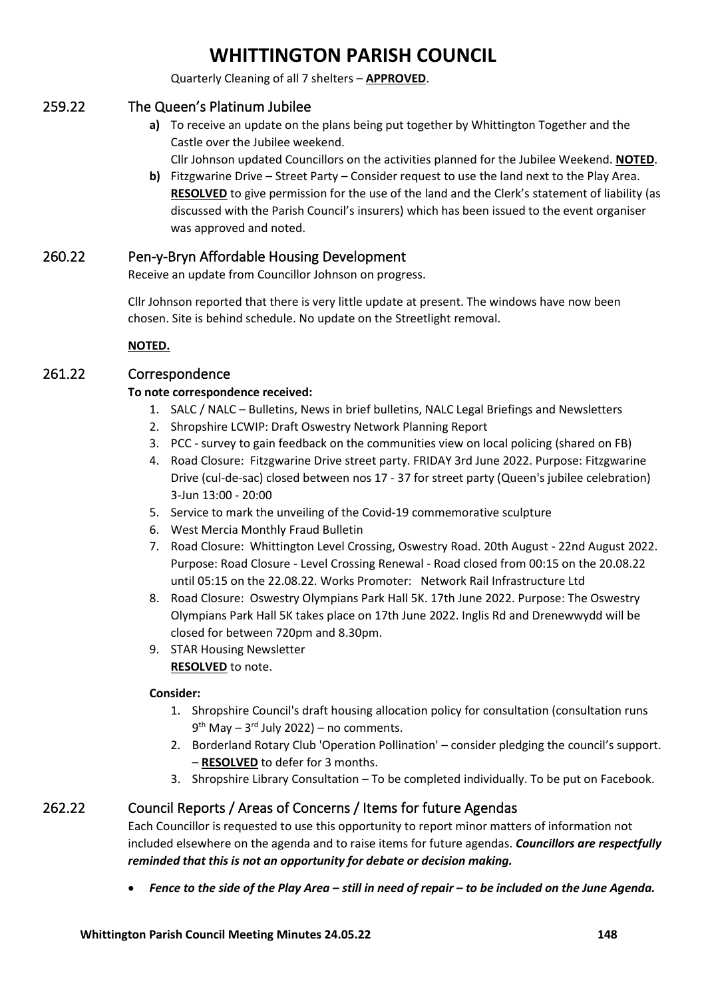Quarterly Cleaning of all 7 shelters – **APPROVED**.

## 259.22 The Queen's Platinum Jubilee

**a)** To receive an update on the plans being put together by Whittington Together and the Castle over the Jubilee weekend.

Cllr Johnson updated Councillors on the activities planned for the Jubilee Weekend. **NOTED**.

**b)** Fitzgwarine Drive – Street Party – Consider request to use the land next to the Play Area. **RESOLVED** to give permission for the use of the land and the Clerk's statement of liability (as discussed with the Parish Council's insurers) which has been issued to the event organiser was approved and noted.

## 260.22 Pen-y-Bryn Affordable Housing Development

Receive an update from Councillor Johnson on progress.

Cllr Johnson reported that there is very little update at present. The windows have now been chosen. Site is behind schedule. No update on the Streetlight removal.

**NOTED.**

## 261.22 Correspondence

## **To note correspondence received:**

- 1. SALC / NALC Bulletins, News in brief bulletins, NALC Legal Briefings and Newsletters
- 2. Shropshire LCWIP: Draft Oswestry Network Planning Report
- 3. PCC survey to gain feedback on the communities view on local policing (shared on FB)
- 4. Road Closure: Fitzgwarine Drive street party. FRIDAY 3rd June 2022. Purpose: Fitzgwarine Drive (cul-de-sac) closed between nos 17 - 37 for street party (Queen's jubilee celebration) 3-Jun 13:00 - 20:00
- 5. Service to mark the unveiling of the Covid-19 commemorative sculpture
- 6. West Mercia Monthly Fraud Bulletin
- 7. Road Closure: Whittington Level Crossing, Oswestry Road. 20th August 22nd August 2022. Purpose: Road Closure - Level Crossing Renewal - Road closed from 00:15 on the 20.08.22 until 05:15 on the 22.08.22. Works Promoter: Network Rail Infrastructure Ltd
- 8. Road Closure: Oswestry Olympians Park Hall 5K. 17th June 2022. Purpose: The Oswestry Olympians Park Hall 5K takes place on 17th June 2022. Inglis Rd and Drenewwydd will be closed for between 720pm and 8.30pm.
- 9. STAR Housing Newsletter **RESOLVED** to note.

### **Consider:**

- 1. Shropshire Council's draft housing allocation policy for consultation (consultation runs 9<sup>th</sup> May – 3<sup>rd</sup> July 2022) – no comments.
- 2. Borderland Rotary Club 'Operation Pollination' consider pledging the council's support. – **RESOLVED** to defer for 3 months.
- 3. Shropshire Library Consultation To be completed individually. To be put on Facebook.

## 262.22 Council Reports / Areas of Concerns / Items for future Agendas

Each Councillor is requested to use this opportunity to report minor matters of information not included elsewhere on the agenda and to raise items for future agendas. *Councillors are respectfully reminded that this is not an opportunity for debate or decision making.*

• *Fence to the side of the Play Area – still in need of repair – to be included on the June Agenda.*